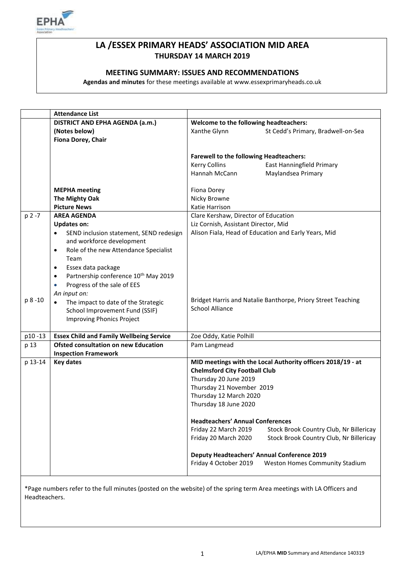

# **LA /ESSEX PRIMARY HEADS' ASSOCIATION MID AREA THURSDAY 14 MARCH 2019**

## **MEETING SUMMARY: ISSUES AND RECOMMENDATIONS**

**Agendas and minutes** for these meetings available at www.essexprimaryheads.co.uk

| DISTRICT AND EPHA AGENDA (a.m.)<br>Welcome to the following headteachers:<br>(Notes below)<br>Xanthe Glynn<br>St Cedd's Primary, Bradwell-on-Sea<br>Fiona Dorey, Chair<br><b>Farewell to the following Headteachers:</b><br><b>Kerry Collins</b><br>East Hanningfield Primary<br>Hannah McCann<br>Maylandsea Primary |
|----------------------------------------------------------------------------------------------------------------------------------------------------------------------------------------------------------------------------------------------------------------------------------------------------------------------|
|                                                                                                                                                                                                                                                                                                                      |
|                                                                                                                                                                                                                                                                                                                      |
|                                                                                                                                                                                                                                                                                                                      |
|                                                                                                                                                                                                                                                                                                                      |
|                                                                                                                                                                                                                                                                                                                      |
|                                                                                                                                                                                                                                                                                                                      |
|                                                                                                                                                                                                                                                                                                                      |
|                                                                                                                                                                                                                                                                                                                      |
| <b>MEPHA</b> meeting<br>Fiona Dorey                                                                                                                                                                                                                                                                                  |
| The Mighty Oak<br>Nicky Browne                                                                                                                                                                                                                                                                                       |
| <b>Picture News</b><br>Katie Harrison                                                                                                                                                                                                                                                                                |
| <b>AREA AGENDA</b><br>Clare Kershaw, Director of Education<br>$p 2 - 7$                                                                                                                                                                                                                                              |
| Liz Cornish, Assistant Director, Mid<br><b>Updates on:</b>                                                                                                                                                                                                                                                           |
| Alison Fiala, Head of Education and Early Years, Mid<br>SEND inclusion statement, SEND redesign<br>$\bullet$                                                                                                                                                                                                         |
| and workforce development                                                                                                                                                                                                                                                                                            |
| Role of the new Attendance Specialist<br>$\bullet$                                                                                                                                                                                                                                                                   |
| Team                                                                                                                                                                                                                                                                                                                 |
| Essex data package<br>٠                                                                                                                                                                                                                                                                                              |
| Partnership conference 10 <sup>th</sup> May 2019<br>$\bullet$                                                                                                                                                                                                                                                        |
| Progress of the sale of EES<br>$\bullet$                                                                                                                                                                                                                                                                             |
| An input on:                                                                                                                                                                                                                                                                                                         |
| p 8 -10<br>Bridget Harris and Natalie Banthorpe, Priory Street Teaching<br>The impact to date of the Strategic                                                                                                                                                                                                       |
| <b>School Alliance</b><br>School Improvement Fund (SSIF)                                                                                                                                                                                                                                                             |
| <b>Improving Phonics Project</b>                                                                                                                                                                                                                                                                                     |
|                                                                                                                                                                                                                                                                                                                      |
| <b>Essex Child and Family Wellbeing Service</b><br>Zoe Oddy, Katie Polhill<br>p10-13                                                                                                                                                                                                                                 |
| <b>Ofsted consultation on new Education</b><br>p 13<br>Pam Langmead                                                                                                                                                                                                                                                  |
| <b>Inspection Framework</b>                                                                                                                                                                                                                                                                                          |
| MID meetings with the Local Authority officers 2018/19 - at<br>p 13-14<br><b>Key dates</b>                                                                                                                                                                                                                           |
| <b>Chelmsford City Football Club</b>                                                                                                                                                                                                                                                                                 |
| Thursday 20 June 2019                                                                                                                                                                                                                                                                                                |
| Thursday 21 November 2019                                                                                                                                                                                                                                                                                            |
| Thursday 12 March 2020                                                                                                                                                                                                                                                                                               |
| Thursday 18 June 2020                                                                                                                                                                                                                                                                                                |
|                                                                                                                                                                                                                                                                                                                      |
| <b>Headteachers' Annual Conferences</b>                                                                                                                                                                                                                                                                              |
| Friday 22 March 2019<br>Stock Brook Country Club, Nr Billericay                                                                                                                                                                                                                                                      |
| Friday 20 March 2020<br>Stock Brook Country Club, Nr Billericay                                                                                                                                                                                                                                                      |
| <b>Deputy Headteachers' Annual Conference 2019</b>                                                                                                                                                                                                                                                                   |
| Friday 4 October 2019<br><b>Weston Homes Community Stadium</b>                                                                                                                                                                                                                                                       |
|                                                                                                                                                                                                                                                                                                                      |

\*Page numbers refer to the full minutes (posted on the website) of the spring term Area meetings with LA Officers and Headteachers.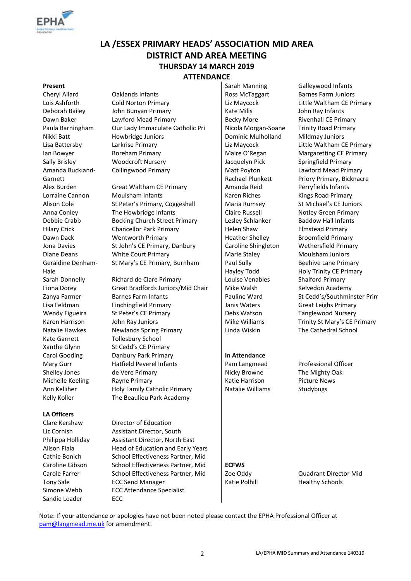

# **LA /ESSEX PRIMARY HEADS' ASSOCIATION MID AREA DISTRICT AND AREA MEETING THURSDAY 14 MARCH 2019 ATTENDANCE**

Amanda Buckland-Garnett Geraldine Denham-Hale Kate Garnett Tollesbury School

#### **LA Officers**

Sandie Leader ECC

- Cheryl Allard Caklands Infants Ross McTaggart Barnes Farm Juniors Lois Ashforth Cold Norton Primary Liz Maycock Little Waltham CE Primary Deborah Bailey John Bunyan Primary | Kate Mills John Ray Infants Dawn Baker Lawford Mead Primary Becky More Rivenhall CE Primary Paula Barningham Our Lady Immaculate Catholic Pri | Nicola Morgan-Soane Trinity Road Primary Nikki Batt **Howbridge Juniors** | Dominic Mulholland Mildmay Juniors Lisa Battersby Larkrise Primary Liz Maycock Little Waltham CE Primary Ian Bowyer **Boreham Primary Community Maire O'Regan** Margaretting CE Primary Sally Brisley Woodcroft Nursery Jacquelyn Pick Springfield Primary Collingwood Primary Matt Poyton
- Alex Burden Great Waltham CE Primary Amanda Reid Perryfields Infants Lorraine Cannon Moulsham Infants Matches Music Riches Kings Road Primary Alison Cole St Peter's Primary, Coggeshall Maria Rumsey St Michael's CE Juniors Anna Conley **The Howbridge Infants** Claire Russell Notley Green Primary Debbie Crabb Bocking Church Street Primary Lesley Schlanker Baddow Hall Infants Hilary Crick Chancellor Park Primary Fullelen Shaw Elmstead Primary Dawn Dack Wentworth Primary Heather Shelley Broomfield Primary Jona Davies St John's CE Primary, Danbury Caroline Shingleton Wethersfield Primary Diane Deans **Marie Court Primary** Marie Staley Moulsham Juniors St Mary's CE Primary, Burnham | Paul Sully

Sarah Donnelly Richard de Clare Primary **Louise Venables** Shalford Primary Fiona Dorey Great Bradfords Juniors/Mid Chair | Mike Walsh Kelvedon Academy Zanya Farmer Barnes Farm Infants Pauline Ward St Cedd's/Southminster Prim Lisa Feldman Finchingfield Primary Janis Waters Great Leighs Primary Wendy Figueira St Peter's CE Primary **Debs Watson Tanglewood Nursery** Debs Watson Karen Harrison John Ray Juniors  $\parallel$  Mike Williams Trinity St Mary's CE Primary Natalie Hawkes Newlands Spring Primary Linda Wiskin The Cathedral School Xanthe Glynn St Cedd's CE Primary Carol Gooding Danbury Park Primary **In Attendance** Mary Gurr **Hatfield Peverel Infants** Pam Langmead Professional Officer Shelley Jones de Vere Primary **Nicky Browne** The Mighty Oak Michelle Keeling Rayne Primary **Katie Harrison** Picture News Ann Kelliher **Holy Family Catholic Primary** Natalie Williams Studybugs Kelly Koller The Beaulieu Park Academy

Clare Kershaw Director of Education Liz Cornish Assistant Director, South Philippa Holliday Assistant Director, North East Alison Fiala **Head of Education and Early Years** Cathie Bonich School Effectiveness Partner, Mid Caroline Gibson School Effectiveness Partner, Mid **ECFWS** Carole Farrer School Effectiveness Partner, Mid Zoe Oddy Quadrant Director Mid Tony Sale **ECC Send Manager** Katie Polhill Healthy Schools Simone Webb ECC Attendance Specialist

Rachael Plunkett Hayley Todd

**Present** Sarah Manning Galleywood Infants Lawford Mead Primary Priory Primary, Bicknacre Beehive Lane Primary Holy Trinity CE Primary

Note: If your attendance or apologies have not been noted please contact the EPHA Professional Officer at [pam@langmead.me.uk](mailto:pam@langmead.me.uk) for amendment.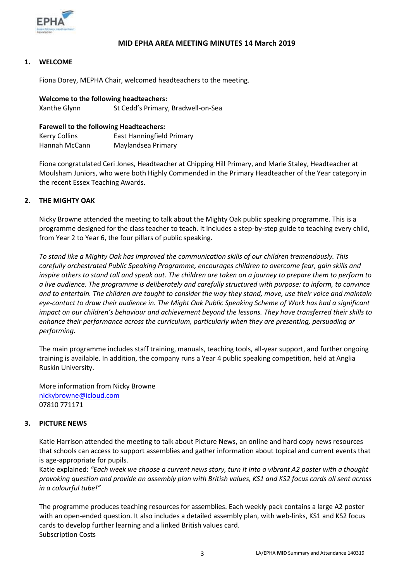

### **MID EPHA AREA MEETING MINUTES 14 March 2019**

#### **1. WELCOME**

Fiona Dorey, MEPHA Chair, welcomed headteachers to the meeting.

| Welcome to the following headteachers: |                                    |  |
|----------------------------------------|------------------------------------|--|
| Xanthe Glynn                           | St Cedd's Primary, Bradwell-on-Sea |  |

#### **Farewell to the following Headteachers:**

| Kerry Collins | East Hanningfield Primary |
|---------------|---------------------------|
| Hannah McCann | Maylandsea Primary        |

Fiona congratulated Ceri Jones, Headteacher at Chipping Hill Primary, and Marie Staley, Headteacher at Moulsham Juniors, who were both Highly Commended in the Primary Headteacher of the Year category in the recent Essex Teaching Awards.

#### **2. THE MIGHTY OAK**

Nicky Browne attended the meeting to talk about the Mighty Oak public speaking programme. This is a programme designed for the class teacher to teach. It includes a step-by-step guide to teaching every child, from Year 2 to Year 6, the four pillars of public speaking.

*To stand like a Mighty Oak has improved the communication skills of our children tremendously. This carefully orchestrated Public Speaking Programme, encourages children to overcome fear, gain skills and inspire others to stand tall and speak out. The children are taken on a journey to prepare them to perform to a live audience. The programme is deliberately and carefully structured with purpose: to inform, to convince and to entertain. The children are taught to consider the way they stand, move, use their voice and maintain eye-contact to draw their audience in. The Might Oak Public Speaking Scheme of Work has had a significant impact on our children's behaviour and achievement beyond the lessons. They have transferred their skills to enhance their performance across the curriculum, particularly when they are presenting, persuading or performing.*

The main programme includes staff training, manuals, teaching tools, all-year support, and further ongoing training is available. In addition, the company runs a Year 4 public speaking competition, held at Anglia Ruskin University.

More information from Nicky Browne [nickybrowne@icloud.com](mailto:nickybrowne@icloud.com) 07810 771171

#### **3. PICTURE NEWS**

Katie Harrison attended the meeting to talk about Picture News, an online and hard copy news resources that schools can access to support assemblies and gather information about topical and current events that is age-appropriate for pupils.

Katie explained: *"Each week we choose a current news story, turn it into a vibrant A2 poster with a thought provoking question and provide an assembly plan with British values, KS1 and KS2 focus cards all sent across in a colourful tube!"*

The programme produces teaching resources for assemblies. Each weekly pack contains a large A2 poster with an open-ended question. It also includes a detailed assembly plan, with web-links, KS1 and KS2 focus cards to develop further learning and a linked British values card. Subscription Costs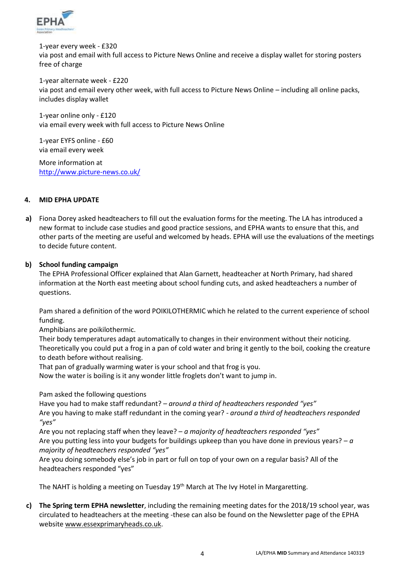

1-year every week - £320 via post and email with full access to Picture News Online and receive a display wallet for storing posters free of charge

1-year alternate week - £220 via post and email every other week, with full access to Picture News Online – including all online packs, includes display wallet

1-year online only - £120 via email every week with full access to Picture News Online

1-year EYFS online - £60 via email every week

More information at <http://www.picture-news.co.uk/>

#### **4. MID EPHA UPDATE**

**a)** Fiona Dorey asked headteachers to fill out the evaluation forms for the meeting. The LA has introduced a new format to include case studies and good practice sessions, and EPHA wants to ensure that this, and other parts of the meeting are useful and welcomed by heads. EPHA will use the evaluations of the meetings to decide future content.

## **b) School funding campaign**

The EPHA Professional Officer explained that Alan Garnett, headteacher at North Primary, had shared information at the North east meeting about school funding cuts, and asked headteachers a number of questions.

Pam shared a definition of the word POIKILOTHERMIC which he related to the current experience of school funding.

Amphibians are poikilothermic.

Their body temperatures adapt automatically to changes in their environment without their noticing. Theoretically you could put a frog in a pan of cold water and bring it gently to the boil, cooking the creature to death before without realising.

That pan of gradually warming water is your school and that frog is you.

Now the water is boiling is it any wonder little froglets don't want to jump in.

Pam asked the following questions

Have you had to make staff redundant? *– around a third of headteachers responded "yes"* Are you having to make staff redundant in the coming year? *- around a third of headteachers responded "yes"*

Are you not replacing staff when they leave? – *a majority of headteachers responded "yes"* Are you putting less into your budgets for buildings upkeep than you have done in previous years? – *a majority of headteachers responded "yes"*

Are you doing somebody else's job in part or full on top of your own on a regular basis? All of the headteachers responded "yes"

The NAHT is holding a meeting on Tuesday 19<sup>th</sup> March at The Ivy Hotel in Margaretting.

**c) The Spring term EPHA newsletter**, including the remaining meeting dates for the 2018/19 school year, was circulated to headteachers at the meeting -these can also be found on the Newsletter page of the EPHA websit[e www.essexprimaryheads.co.uk.](http://www.essexprimaryheads.co.uk/)